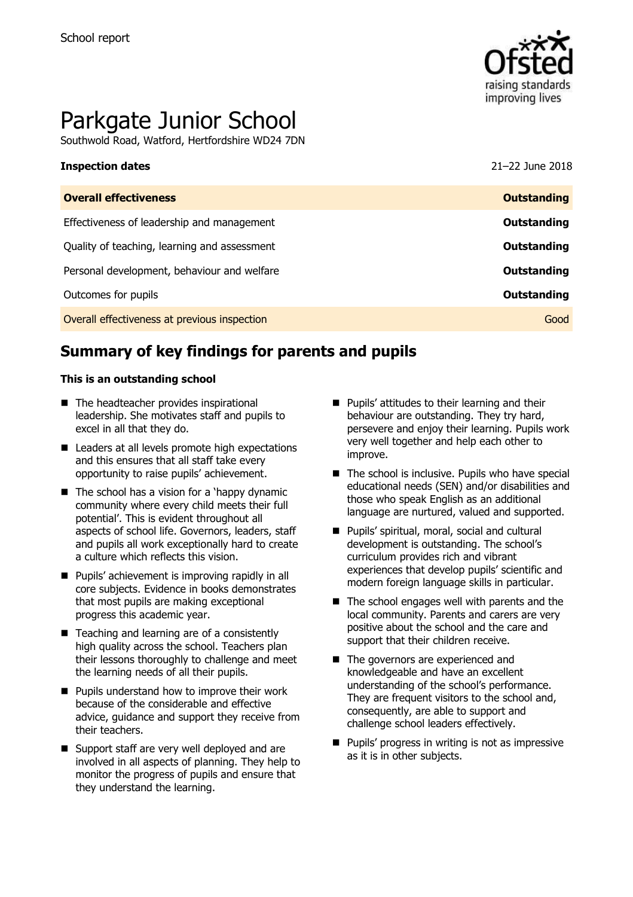

# Parkgate Junior School

Southwold Road, Watford, Hertfordshire WD24 7DN

# **Inspection dates** 21–22 June 2018

| <b>Overall effectiveness</b>                 | <b>Outstanding</b> |
|----------------------------------------------|--------------------|
| Effectiveness of leadership and management   | Outstanding        |
| Quality of teaching, learning and assessment | Outstanding        |
| Personal development, behaviour and welfare  | Outstanding        |
| Outcomes for pupils                          | Outstanding        |
| Overall effectiveness at previous inspection | Good               |

# **Summary of key findings for parents and pupils**

### **This is an outstanding school**

- The headteacher provides inspirational leadership. She motivates staff and pupils to excel in all that they do.
- Leaders at all levels promote high expectations and this ensures that all staff take every opportunity to raise pupils' achievement.
- $\blacksquare$  The school has a vision for a 'happy dynamic community where every child meets their full potential'. This is evident throughout all aspects of school life. Governors, leaders, staff and pupils all work exceptionally hard to create a culture which reflects this vision.
- Pupils' achievement is improving rapidly in all core subjects. Evidence in books demonstrates that most pupils are making exceptional progress this academic year.
- $\blacksquare$  Teaching and learning are of a consistently high quality across the school. Teachers plan their lessons thoroughly to challenge and meet the learning needs of all their pupils.
- $\blacksquare$  Pupils understand how to improve their work because of the considerable and effective advice, guidance and support they receive from their teachers.
- Support staff are very well deployed and are involved in all aspects of planning. They help to monitor the progress of pupils and ensure that they understand the learning.
- **Pupils' attitudes to their learning and their** behaviour are outstanding. They try hard, persevere and enjoy their learning. Pupils work very well together and help each other to improve.
- $\blacksquare$  The school is inclusive. Pupils who have special educational needs (SEN) and/or disabilities and those who speak English as an additional language are nurtured, valued and supported.
- Pupils' spiritual, moral, social and cultural development is outstanding. The school's curriculum provides rich and vibrant experiences that develop pupils' scientific and modern foreign language skills in particular.
- $\blacksquare$  The school engages well with parents and the local community. Parents and carers are very positive about the school and the care and support that their children receive.
- The governors are experienced and knowledgeable and have an excellent understanding of the school's performance. They are frequent visitors to the school and, consequently, are able to support and challenge school leaders effectively.
- **Pupils' progress in writing is not as impressive** as it is in other subjects.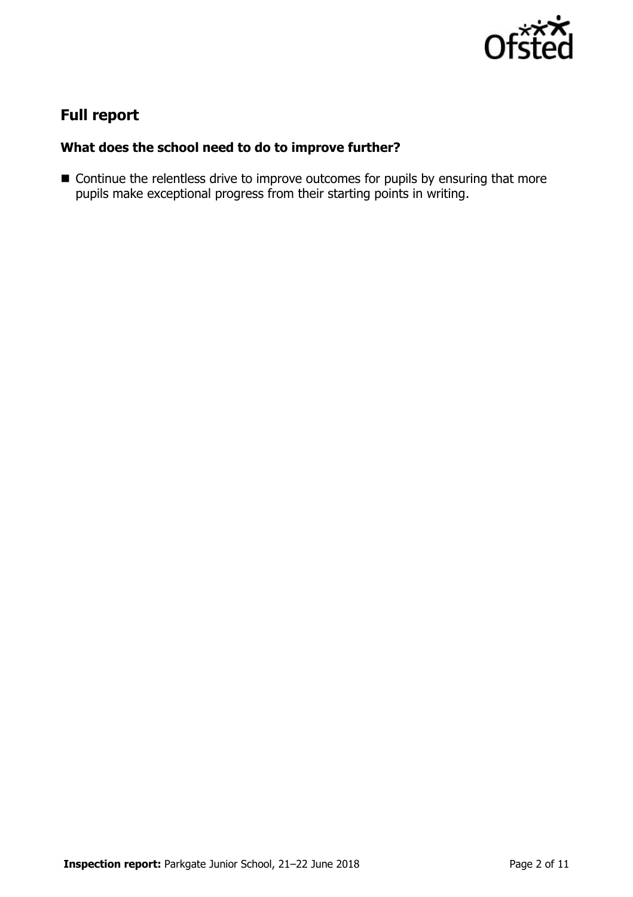

# **Full report**

### **What does the school need to do to improve further?**

■ Continue the relentless drive to improve outcomes for pupils by ensuring that more pupils make exceptional progress from their starting points in writing.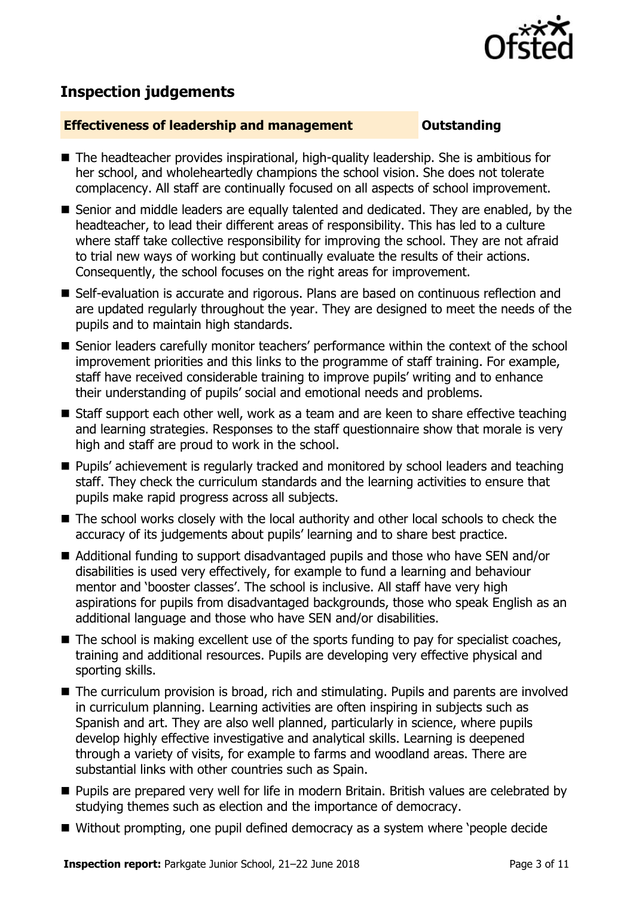

# **Inspection judgements**

### **Effectiveness of leadership and management Constanding**

- The headteacher provides inspirational, high-quality leadership. She is ambitious for her school, and wholeheartedly champions the school vision. She does not tolerate complacency. All staff are continually focused on all aspects of school improvement.
- Senior and middle leaders are equally talented and dedicated. They are enabled, by the headteacher, to lead their different areas of responsibility. This has led to a culture where staff take collective responsibility for improving the school. They are not afraid to trial new ways of working but continually evaluate the results of their actions. Consequently, the school focuses on the right areas for improvement.
- Self-evaluation is accurate and rigorous. Plans are based on continuous reflection and are updated regularly throughout the year. They are designed to meet the needs of the pupils and to maintain high standards.
- Senior leaders carefully monitor teachers' performance within the context of the school improvement priorities and this links to the programme of staff training. For example, staff have received considerable training to improve pupils' writing and to enhance their understanding of pupils' social and emotional needs and problems.
- Staff support each other well, work as a team and are keen to share effective teaching and learning strategies. Responses to the staff questionnaire show that morale is very high and staff are proud to work in the school.
- **Pupils'** achievement is regularly tracked and monitored by school leaders and teaching staff. They check the curriculum standards and the learning activities to ensure that pupils make rapid progress across all subjects.
- The school works closely with the local authority and other local schools to check the accuracy of its judgements about pupils' learning and to share best practice.
- Additional funding to support disadvantaged pupils and those who have SEN and/or disabilities is used very effectively, for example to fund a learning and behaviour mentor and 'booster classes'. The school is inclusive. All staff have very high aspirations for pupils from disadvantaged backgrounds, those who speak English as an additional language and those who have SEN and/or disabilities.
- The school is making excellent use of the sports funding to pay for specialist coaches, training and additional resources. Pupils are developing very effective physical and sporting skills.
- The curriculum provision is broad, rich and stimulating. Pupils and parents are involved in curriculum planning. Learning activities are often inspiring in subjects such as Spanish and art. They are also well planned, particularly in science, where pupils develop highly effective investigative and analytical skills. Learning is deepened through a variety of visits, for example to farms and woodland areas. There are substantial links with other countries such as Spain.
- **Pupils are prepared very well for life in modern Britain. British values are celebrated by** studying themes such as election and the importance of democracy.
- Without prompting, one pupil defined democracy as a system where 'people decide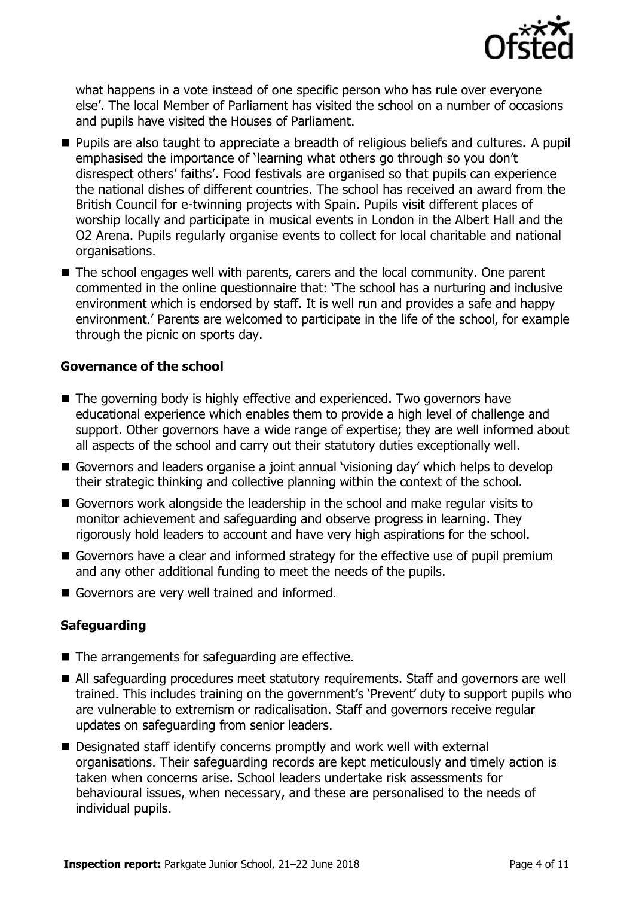

what happens in a vote instead of one specific person who has rule over everyone else'. The local Member of Parliament has visited the school on a number of occasions and pupils have visited the Houses of Parliament.

- **Pupils are also taught to appreciate a breadth of religious beliefs and cultures. A pupil** emphasised the importance of 'learning what others go through so you don't disrespect others' faiths'. Food festivals are organised so that pupils can experience the national dishes of different countries. The school has received an award from the British Council for e-twinning projects with Spain. Pupils visit different places of worship locally and participate in musical events in London in the Albert Hall and the O2 Arena. Pupils regularly organise events to collect for local charitable and national organisations.
- The school engages well with parents, carers and the local community. One parent commented in the online questionnaire that: 'The school has a nurturing and inclusive environment which is endorsed by staff. It is well run and provides a safe and happy environment.' Parents are welcomed to participate in the life of the school, for example through the picnic on sports day.

### **Governance of the school**

- The governing body is highly effective and experienced. Two governors have educational experience which enables them to provide a high level of challenge and support. Other governors have a wide range of expertise; they are well informed about all aspects of the school and carry out their statutory duties exceptionally well.
- Governors and leaders organise a joint annual 'visioning day' which helps to develop their strategic thinking and collective planning within the context of the school.
- Governors work alongside the leadership in the school and make regular visits to monitor achievement and safeguarding and observe progress in learning. They rigorously hold leaders to account and have very high aspirations for the school.
- Governors have a clear and informed strategy for the effective use of pupil premium and any other additional funding to meet the needs of the pupils.
- Governors are very well trained and informed.

### **Safeguarding**

- The arrangements for safeguarding are effective.
- All safeguarding procedures meet statutory requirements. Staff and governors are well trained. This includes training on the government's 'Prevent' duty to support pupils who are vulnerable to extremism or radicalisation. Staff and governors receive regular updates on safeguarding from senior leaders.
- Designated staff identify concerns promptly and work well with external organisations. Their safeguarding records are kept meticulously and timely action is taken when concerns arise. School leaders undertake risk assessments for behavioural issues, when necessary, and these are personalised to the needs of individual pupils.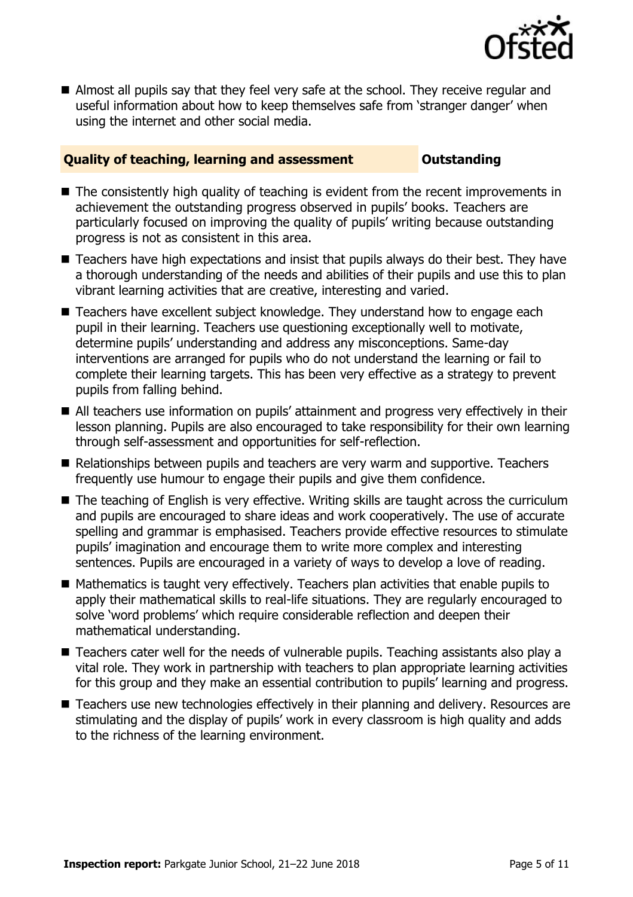

Almost all pupils say that they feel very safe at the school. They receive regular and useful information about how to keep themselves safe from 'stranger danger' when using the internet and other social media.

### **Quality of teaching, learning and assessment Outstanding**

- The consistently high quality of teaching is evident from the recent improvements in achievement the outstanding progress observed in pupils' books. Teachers are particularly focused on improving the quality of pupils' writing because outstanding progress is not as consistent in this area.
- Teachers have high expectations and insist that pupils always do their best. They have a thorough understanding of the needs and abilities of their pupils and use this to plan vibrant learning activities that are creative, interesting and varied.
- Teachers have excellent subject knowledge. They understand how to engage each pupil in their learning. Teachers use questioning exceptionally well to motivate, determine pupils' understanding and address any misconceptions. Same-day interventions are arranged for pupils who do not understand the learning or fail to complete their learning targets. This has been very effective as a strategy to prevent pupils from falling behind.
- All teachers use information on pupils' attainment and progress very effectively in their lesson planning. Pupils are also encouraged to take responsibility for their own learning through self-assessment and opportunities for self-reflection.
- Relationships between pupils and teachers are very warm and supportive. Teachers frequently use humour to engage their pupils and give them confidence.
- The teaching of English is very effective. Writing skills are taught across the curriculum and pupils are encouraged to share ideas and work cooperatively. The use of accurate spelling and grammar is emphasised. Teachers provide effective resources to stimulate pupils' imagination and encourage them to write more complex and interesting sentences. Pupils are encouraged in a variety of ways to develop a love of reading.
- $\blacksquare$  Mathematics is taught very effectively. Teachers plan activities that enable pupils to apply their mathematical skills to real-life situations. They are regularly encouraged to solve 'word problems' which require considerable reflection and deepen their mathematical understanding.
- Teachers cater well for the needs of vulnerable pupils. Teaching assistants also play a vital role. They work in partnership with teachers to plan appropriate learning activities for this group and they make an essential contribution to pupils' learning and progress.
- Teachers use new technologies effectively in their planning and delivery. Resources are stimulating and the display of pupils' work in every classroom is high quality and adds to the richness of the learning environment.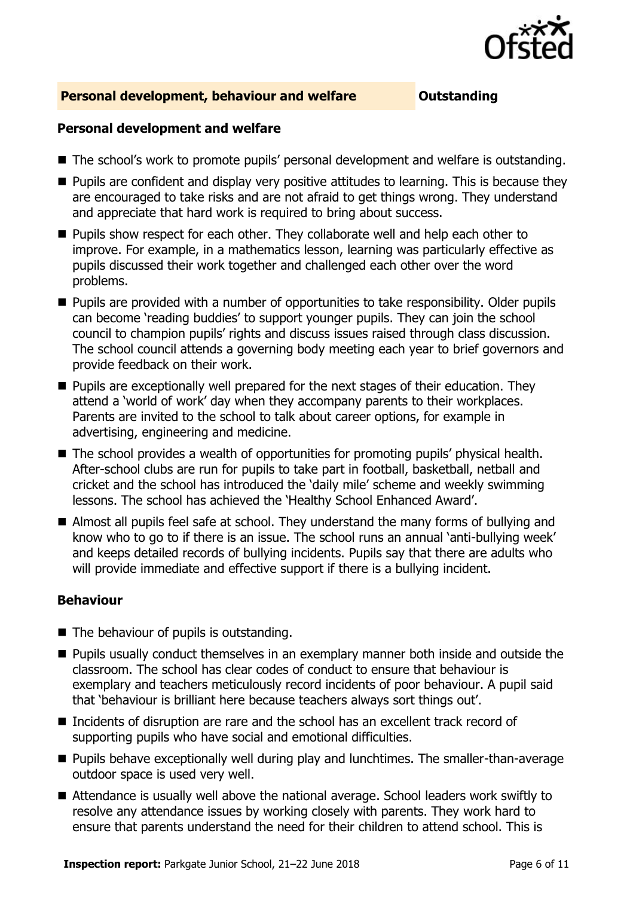

### **Personal development, behaviour and welfare <b>COUTS** Outstanding

### **Personal development and welfare**

- The school's work to promote pupils' personal development and welfare is outstanding.
- $\blacksquare$  Pupils are confident and display very positive attitudes to learning. This is because they are encouraged to take risks and are not afraid to get things wrong. They understand and appreciate that hard work is required to bring about success.
- **Pupils show respect for each other. They collaborate well and help each other to** improve. For example, in a mathematics lesson, learning was particularly effective as pupils discussed their work together and challenged each other over the word problems.
- Pupils are provided with a number of opportunities to take responsibility. Older pupils can become 'reading buddies' to support younger pupils. They can join the school council to champion pupils' rights and discuss issues raised through class discussion. The school council attends a governing body meeting each year to brief governors and provide feedback on their work.
- $\blacksquare$  Pupils are exceptionally well prepared for the next stages of their education. They attend a 'world of work' day when they accompany parents to their workplaces. Parents are invited to the school to talk about career options, for example in advertising, engineering and medicine.
- The school provides a wealth of opportunities for promoting pupils' physical health. After-school clubs are run for pupils to take part in football, basketball, netball and cricket and the school has introduced the 'daily mile' scheme and weekly swimming lessons. The school has achieved the 'Healthy School Enhanced Award'.
- Almost all pupils feel safe at school. They understand the many forms of bullying and know who to go to if there is an issue. The school runs an annual 'anti-bullying week' and keeps detailed records of bullying incidents. Pupils say that there are adults who will provide immediate and effective support if there is a bullying incident.

### **Behaviour**

- $\blacksquare$  The behaviour of pupils is outstanding.
- **Pupils usually conduct themselves in an exemplary manner both inside and outside the** classroom. The school has clear codes of conduct to ensure that behaviour is exemplary and teachers meticulously record incidents of poor behaviour. A pupil said that 'behaviour is brilliant here because teachers always sort things out'.
- Incidents of disruption are rare and the school has an excellent track record of supporting pupils who have social and emotional difficulties.
- **Pupils behave exceptionally well during play and lunchtimes. The smaller-than-average** outdoor space is used very well.
- Attendance is usually well above the national average. School leaders work swiftly to resolve any attendance issues by working closely with parents. They work hard to ensure that parents understand the need for their children to attend school. This is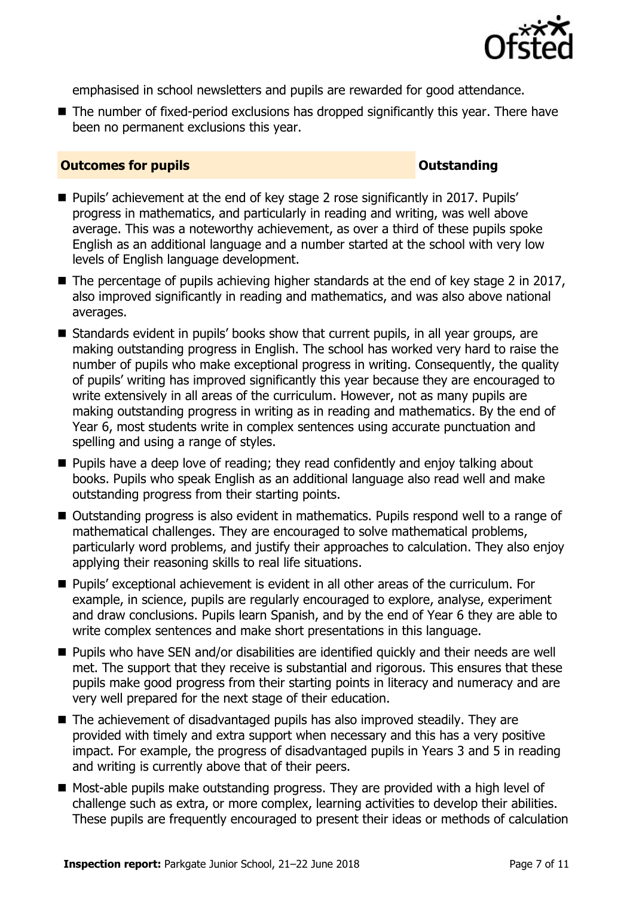

emphasised in school newsletters and pupils are rewarded for good attendance.

■ The number of fixed-period exclusions has dropped significantly this year. There have been no permanent exclusions this year.

### **Outcomes for pupils Outstanding**

- Pupils' achievement at the end of key stage 2 rose significantly in 2017. Pupils' progress in mathematics, and particularly in reading and writing, was well above average. This was a noteworthy achievement, as over a third of these pupils spoke English as an additional language and a number started at the school with very low levels of English language development.
- $\blacksquare$  The percentage of pupils achieving higher standards at the end of key stage 2 in 2017, also improved significantly in reading and mathematics, and was also above national averages.
- Standards evident in pupils' books show that current pupils, in all year groups, are making outstanding progress in English. The school has worked very hard to raise the number of pupils who make exceptional progress in writing. Consequently, the quality of pupils' writing has improved significantly this year because they are encouraged to write extensively in all areas of the curriculum. However, not as many pupils are making outstanding progress in writing as in reading and mathematics. By the end of Year 6, most students write in complex sentences using accurate punctuation and spelling and using a range of styles.
- $\blacksquare$  Pupils have a deep love of reading; they read confidently and enjoy talking about books. Pupils who speak English as an additional language also read well and make outstanding progress from their starting points.
- Outstanding progress is also evident in mathematics. Pupils respond well to a range of mathematical challenges. They are encouraged to solve mathematical problems, particularly word problems, and justify their approaches to calculation. They also enjoy applying their reasoning skills to real life situations.
- Pupils' exceptional achievement is evident in all other areas of the curriculum. For example, in science, pupils are regularly encouraged to explore, analyse, experiment and draw conclusions. Pupils learn Spanish, and by the end of Year 6 they are able to write complex sentences and make short presentations in this language.
- Pupils who have SEN and/or disabilities are identified quickly and their needs are well met. The support that they receive is substantial and rigorous. This ensures that these pupils make good progress from their starting points in literacy and numeracy and are very well prepared for the next stage of their education.
- The achievement of disadvantaged pupils has also improved steadily. They are provided with timely and extra support when necessary and this has a very positive impact. For example, the progress of disadvantaged pupils in Years 3 and 5 in reading and writing is currently above that of their peers.
- Most-able pupils make outstanding progress. They are provided with a high level of challenge such as extra, or more complex, learning activities to develop their abilities. These pupils are frequently encouraged to present their ideas or methods of calculation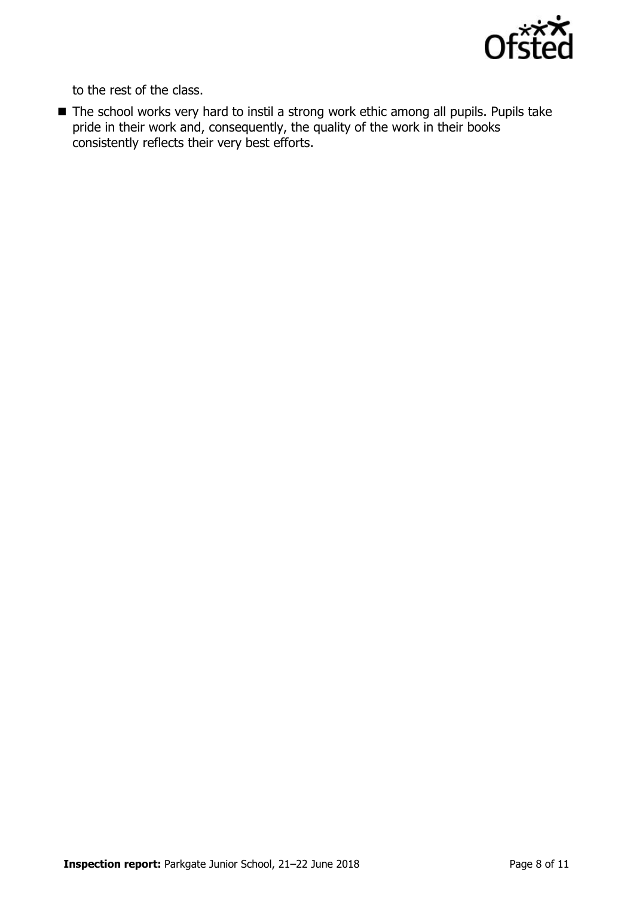

to the rest of the class.

■ The school works very hard to instil a strong work ethic among all pupils. Pupils take pride in their work and, consequently, the quality of the work in their books consistently reflects their very best efforts.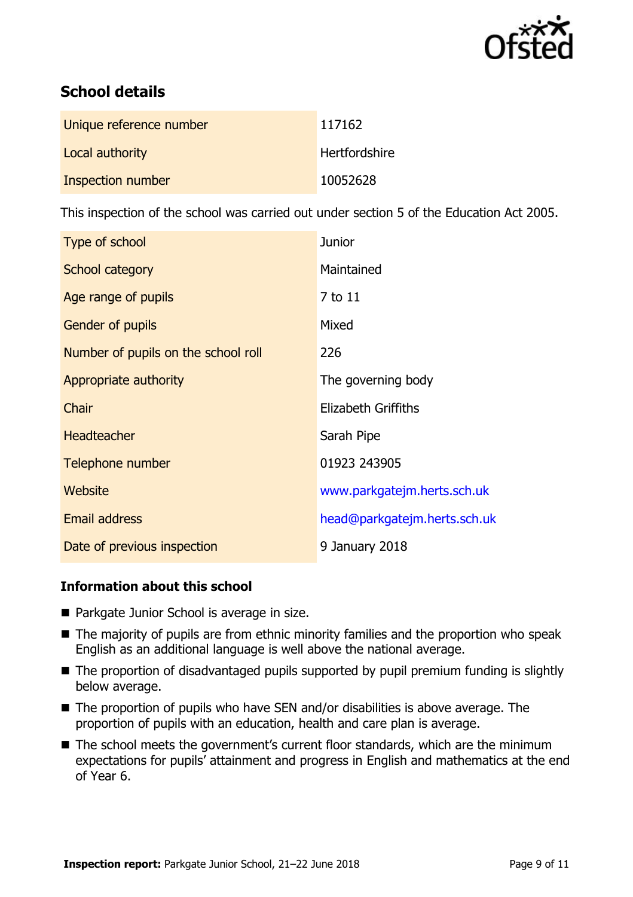

# **School details**

| Unique reference number | 117162               |
|-------------------------|----------------------|
| Local authority         | <b>Hertfordshire</b> |
| Inspection number       | 10052628             |

This inspection of the school was carried out under section 5 of the Education Act 2005.

| Type of school                      | <b>Junior</b>                |
|-------------------------------------|------------------------------|
| School category                     | Maintained                   |
| Age range of pupils                 | 7 to 11                      |
| <b>Gender of pupils</b>             | Mixed                        |
| Number of pupils on the school roll | 226                          |
| Appropriate authority               | The governing body           |
| Chair                               | <b>Elizabeth Griffiths</b>   |
| <b>Headteacher</b>                  | Sarah Pipe                   |
| Telephone number                    | 01923 243905                 |
| Website                             | www.parkgatejm.herts.sch.uk  |
| <b>Email address</b>                | head@parkgatejm.herts.sch.uk |
| Date of previous inspection         | 9 January 2018               |

### **Information about this school**

- Parkgate Junior School is average in size.
- The majority of pupils are from ethnic minority families and the proportion who speak English as an additional language is well above the national average.
- The proportion of disadvantaged pupils supported by pupil premium funding is slightly below average.
- The proportion of pupils who have SEN and/or disabilities is above average. The proportion of pupils with an education, health and care plan is average.
- The school meets the government's current floor standards, which are the minimum expectations for pupils' attainment and progress in English and mathematics at the end of Year 6.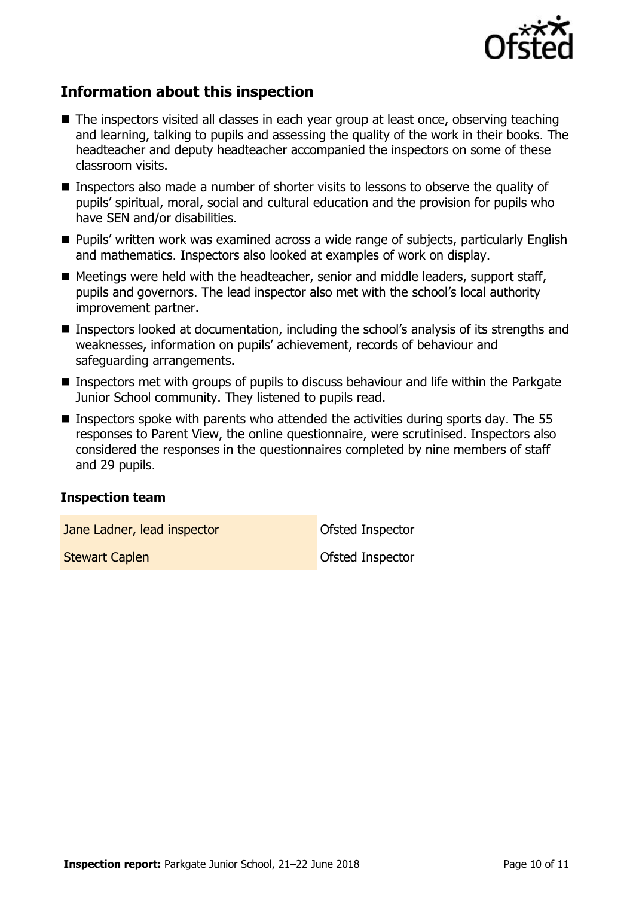

# **Information about this inspection**

- The inspectors visited all classes in each year group at least once, observing teaching and learning, talking to pupils and assessing the quality of the work in their books. The headteacher and deputy headteacher accompanied the inspectors on some of these classroom visits.
- Inspectors also made a number of shorter visits to lessons to observe the quality of pupils' spiritual, moral, social and cultural education and the provision for pupils who have SEN and/or disabilities.
- **Pupils' written work was examined across a wide range of subjects, particularly English** and mathematics. Inspectors also looked at examples of work on display.
- Meetings were held with the headteacher, senior and middle leaders, support staff, pupils and governors. The lead inspector also met with the school's local authority improvement partner.
- Inspectors looked at documentation, including the school's analysis of its strengths and weaknesses, information on pupils' achievement, records of behaviour and safeguarding arrangements.
- Inspectors met with groups of pupils to discuss behaviour and life within the Parkgate Junior School community. They listened to pupils read.
- **Inspectors spoke with parents who attended the activities during sports day. The 55** responses to Parent View, the online questionnaire, were scrutinised. Inspectors also considered the responses in the questionnaires completed by nine members of staff and 29 pupils.

### **Inspection team**

**Jane Ladner, lead inspector Contract Contract Contract Inspector** 

**Stewart Caplen Capter Capter Capter Capter Capter Capter Capter Capter Capter Capter Capter Capter Capter Capter Capter Capter Capter Capter Capter Capter Capter Capter Capter Capter Capter Capter Capter Capter Capter Cap**